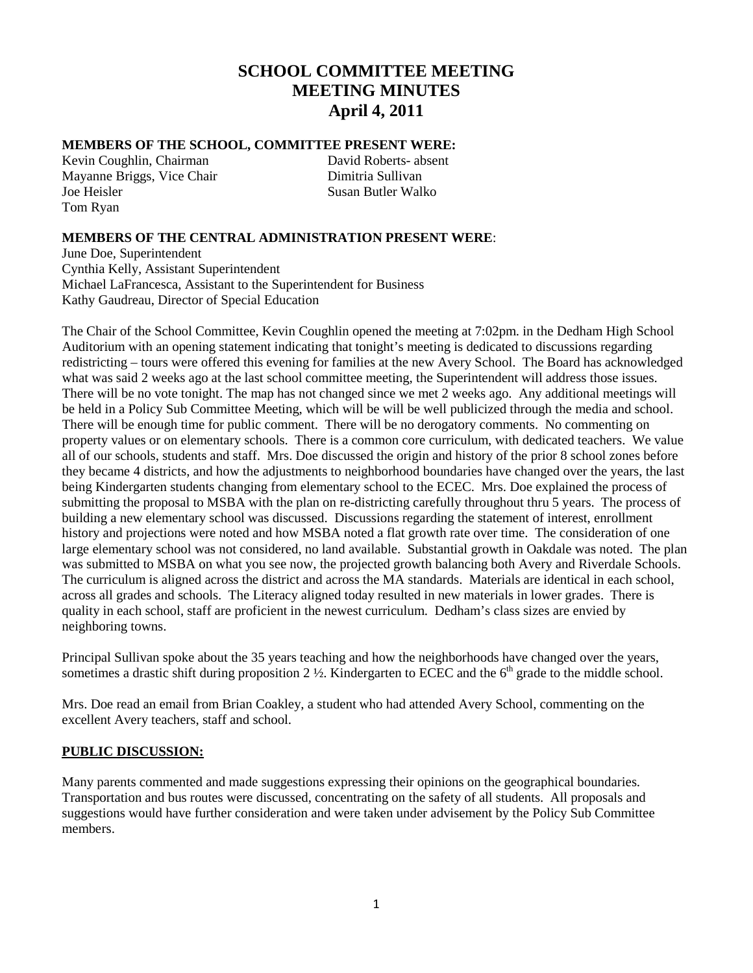# **SCHOOL COMMITTEE MEETING MEETING MINUTES April 4, 2011**

### **MEMBERS OF THE SCHOOL, COMMITTEE PRESENT WERE:**

Kevin Coughlin, Chairman David Roberts- absent Mayanne Briggs, Vice Chair Dimitria Sullivan Joe Heisler Susan Butler Walko Tom Ryan

# **MEMBERS OF THE CENTRAL ADMINISTRATION PRESENT WERE**:

June Doe, Superintendent Cynthia Kelly, Assistant Superintendent Michael LaFrancesca, Assistant to the Superintendent for Business Kathy Gaudreau, Director of Special Education

The Chair of the School Committee, Kevin Coughlin opened the meeting at 7:02pm. in the Dedham High School Auditorium with an opening statement indicating that tonight's meeting is dedicated to discussions regarding redistricting – tours were offered this evening for families at the new Avery School. The Board has acknowledged what was said 2 weeks ago at the last school committee meeting, the Superintendent will address those issues. There will be no vote tonight. The map has not changed since we met 2 weeks ago. Any additional meetings will be held in a Policy Sub Committee Meeting, which will be will be well publicized through the media and school. There will be enough time for public comment. There will be no derogatory comments. No commenting on property values or on elementary schools. There is a common core curriculum, with dedicated teachers. We value all of our schools, students and staff. Mrs. Doe discussed the origin and history of the prior 8 school zones before they became 4 districts, and how the adjustments to neighborhood boundaries have changed over the years, the last being Kindergarten students changing from elementary school to the ECEC. Mrs. Doe explained the process of submitting the proposal to MSBA with the plan on re-districting carefully throughout thru 5 years. The process of building a new elementary school was discussed. Discussions regarding the statement of interest, enrollment history and projections were noted and how MSBA noted a flat growth rate over time. The consideration of one large elementary school was not considered, no land available. Substantial growth in Oakdale was noted. The plan was submitted to MSBA on what you see now, the projected growth balancing both Avery and Riverdale Schools. The curriculum is aligned across the district and across the MA standards. Materials are identical in each school, across all grades and schools. The Literacy aligned today resulted in new materials in lower grades. There is quality in each school, staff are proficient in the newest curriculum. Dedham's class sizes are envied by neighboring towns.

Principal Sullivan spoke about the 35 years teaching and how the neighborhoods have changed over the years, sometimes a drastic shift during proposition 2  $\frac{1}{2}$ . Kindergarten to ECEC and the 6<sup>th</sup> grade to the middle school.

Mrs. Doe read an email from Brian Coakley, a student who had attended Avery School, commenting on the excellent Avery teachers, staff and school.

### **PUBLIC DISCUSSION:**

Many parents commented and made suggestions expressing their opinions on the geographical boundaries. Transportation and bus routes were discussed, concentrating on the safety of all students. All proposals and suggestions would have further consideration and were taken under advisement by the Policy Sub Committee members.